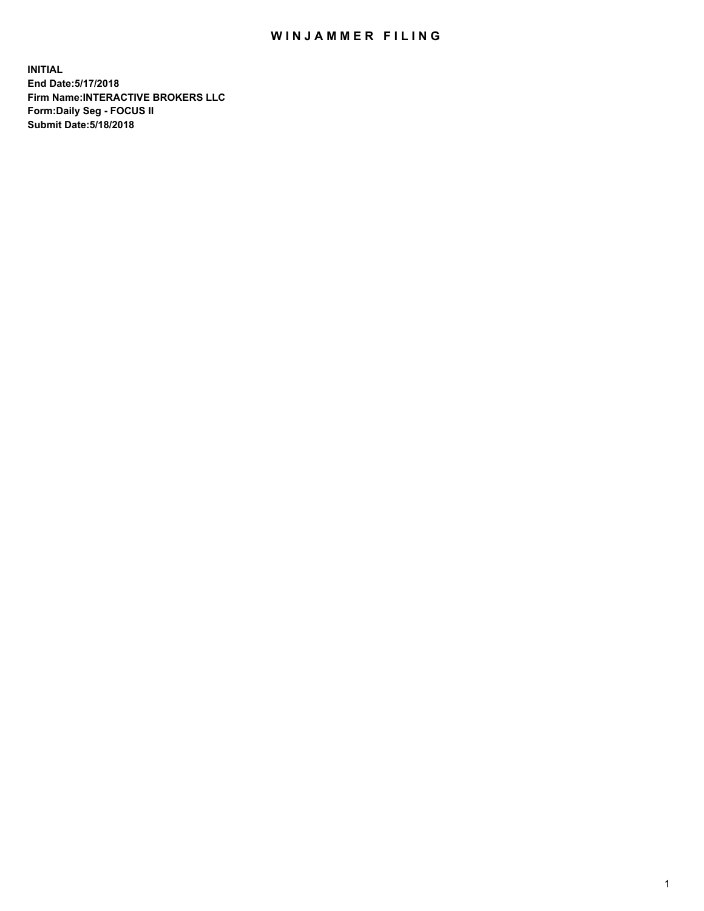## WIN JAMMER FILING

**INITIAL End Date:5/17/2018 Firm Name:INTERACTIVE BROKERS LLC Form:Daily Seg - FOCUS II Submit Date:5/18/2018**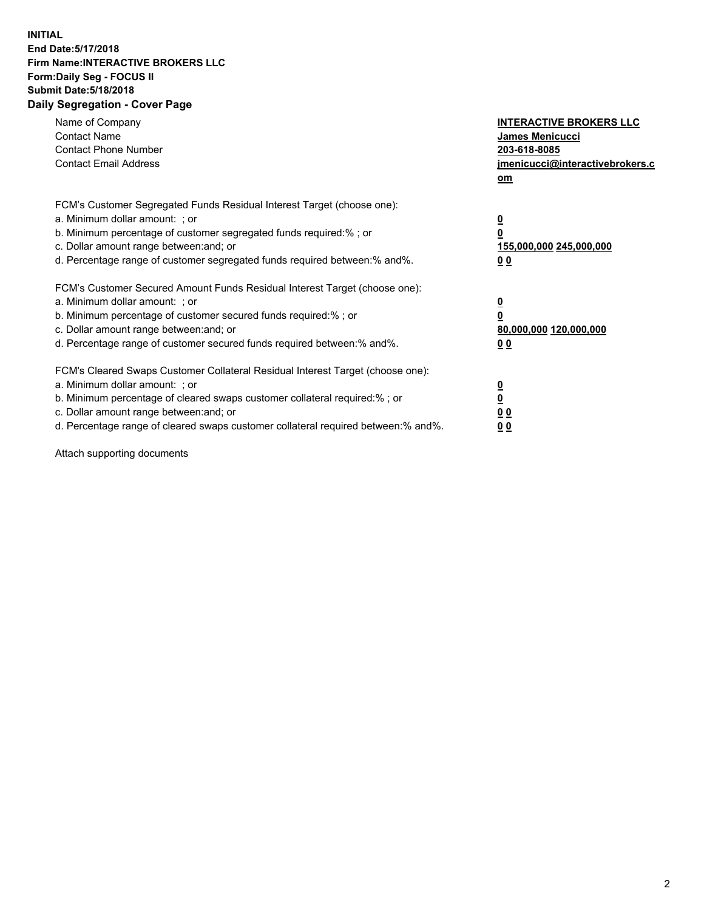## **INITIAL End Date:5/17/2018 Firm Name:INTERACTIVE BROKERS LLC Form:Daily Seg - FOCUS II Submit Date:5/18/2018 Daily Segregation - Cover Page**

| Name of Company<br><b>Contact Name</b><br><b>Contact Phone Number</b>                                                                                                                                                                                                                                                          | <b>INTERACTIVE BROKERS LLC</b><br><b>James Menicucci</b><br>203-618-8085                        |  |
|--------------------------------------------------------------------------------------------------------------------------------------------------------------------------------------------------------------------------------------------------------------------------------------------------------------------------------|-------------------------------------------------------------------------------------------------|--|
| <b>Contact Email Address</b>                                                                                                                                                                                                                                                                                                   | jmenicucci@interactivebrokers.c<br>om                                                           |  |
| FCM's Customer Segregated Funds Residual Interest Target (choose one):<br>a. Minimum dollar amount: ; or<br>b. Minimum percentage of customer segregated funds required:% ; or<br>c. Dollar amount range between: and; or<br>d. Percentage range of customer segregated funds required between:% and%.                         | $\overline{\mathbf{0}}$<br>$\overline{\mathbf{0}}$<br>155,000,000 245,000,000<br>0 <sub>0</sub> |  |
| FCM's Customer Secured Amount Funds Residual Interest Target (choose one):<br>a. Minimum dollar amount: ; or<br>b. Minimum percentage of customer secured funds required:%; or<br>c. Dollar amount range between: and; or<br>d. Percentage range of customer secured funds required between: % and %.                          | $\overline{\mathbf{0}}$<br>$\overline{\mathbf{0}}$<br>80,000,000 120,000,000<br>0 <sub>0</sub>  |  |
| FCM's Cleared Swaps Customer Collateral Residual Interest Target (choose one):<br>a. Minimum dollar amount: ; or<br>b. Minimum percentage of cleared swaps customer collateral required:% ; or<br>c. Dollar amount range between: and; or<br>d. Percentage range of cleared swaps customer collateral required between:% and%. | $\overline{\mathbf{0}}$<br>$\underline{\mathbf{0}}$<br>0 <sub>0</sub><br>0 <sup>0</sup>         |  |

Attach supporting documents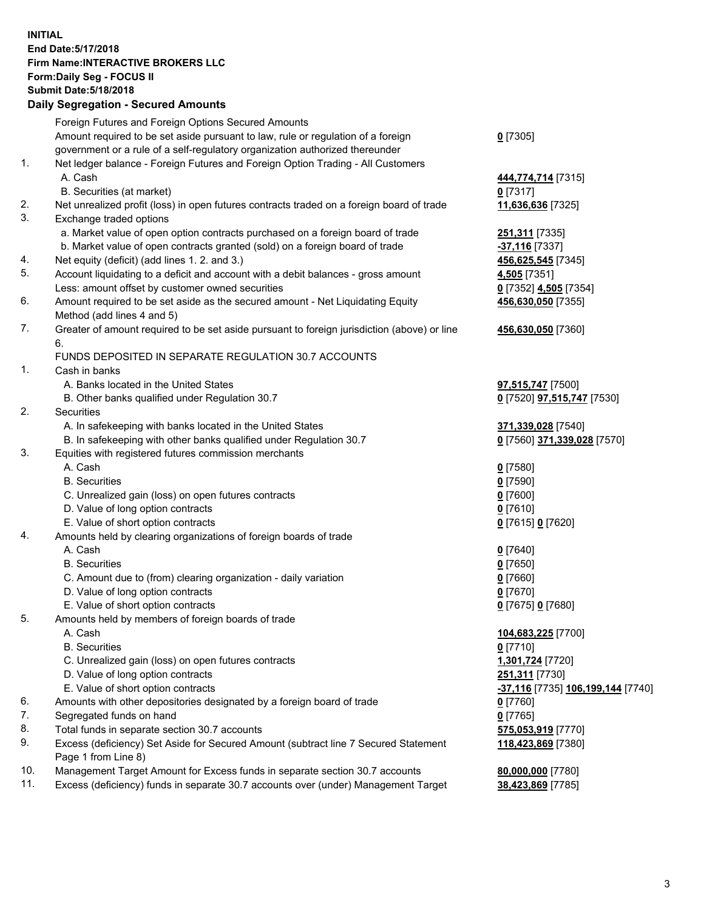## **INITIAL End Date:5/17/2018 Firm Name:INTERACTIVE BROKERS LLC Form:Daily Seg - FOCUS II Submit Date:5/18/2018 Daily Segregation - Secured Amounts**

|     | Daily Segregation - Secured Amounts                                                         |                                   |
|-----|---------------------------------------------------------------------------------------------|-----------------------------------|
|     | Foreign Futures and Foreign Options Secured Amounts                                         |                                   |
|     | Amount required to be set aside pursuant to law, rule or regulation of a foreign            | $0$ [7305]                        |
|     | government or a rule of a self-regulatory organization authorized thereunder                |                                   |
| 1.  | Net ledger balance - Foreign Futures and Foreign Option Trading - All Customers             |                                   |
|     | A. Cash                                                                                     | 444,774,714 [7315]                |
|     | B. Securities (at market)                                                                   | $0$ [7317]                        |
| 2.  | Net unrealized profit (loss) in open futures contracts traded on a foreign board of trade   | 11,636,636 [7325]                 |
| 3.  | Exchange traded options                                                                     |                                   |
|     | a. Market value of open option contracts purchased on a foreign board of trade              | 251,311 [7335]                    |
|     | b. Market value of open contracts granted (sold) on a foreign board of trade                | -37,116 [7337]                    |
| 4.  | Net equity (deficit) (add lines 1.2. and 3.)                                                | 456,625,545 [7345]                |
| 5.  | Account liquidating to a deficit and account with a debit balances - gross amount           | 4,505 [7351]                      |
|     | Less: amount offset by customer owned securities                                            | 0 [7352] 4,505 [7354]             |
| 6.  | Amount required to be set aside as the secured amount - Net Liquidating Equity              | 456,630,050 [7355]                |
|     | Method (add lines 4 and 5)                                                                  |                                   |
| 7.  | Greater of amount required to be set aside pursuant to foreign jurisdiction (above) or line | 456,630,050 [7360]                |
|     | 6.                                                                                          |                                   |
|     | FUNDS DEPOSITED IN SEPARATE REGULATION 30.7 ACCOUNTS                                        |                                   |
| 1.  | Cash in banks                                                                               |                                   |
|     | A. Banks located in the United States                                                       | 97,515,747 [7500]                 |
|     | B. Other banks qualified under Regulation 30.7                                              | 0 [7520] 97,515,747 [7530]        |
| 2.  | Securities                                                                                  |                                   |
|     | A. In safekeeping with banks located in the United States                                   | 371,339,028 [7540]                |
|     | B. In safekeeping with other banks qualified under Regulation 30.7                          | 0 [7560] 371,339,028 [7570]       |
| 3.  | Equities with registered futures commission merchants                                       |                                   |
|     | A. Cash                                                                                     | $0$ [7580]                        |
|     | <b>B.</b> Securities                                                                        | $0$ [7590]                        |
|     | C. Unrealized gain (loss) on open futures contracts                                         | $0$ [7600]                        |
|     | D. Value of long option contracts                                                           | $0$ [7610]                        |
|     | E. Value of short option contracts                                                          | 0 [7615] 0 [7620]                 |
| 4.  | Amounts held by clearing organizations of foreign boards of trade                           |                                   |
|     | A. Cash                                                                                     | $0$ [7640]                        |
|     | <b>B.</b> Securities                                                                        | $0$ [7650]                        |
|     | C. Amount due to (from) clearing organization - daily variation                             | $0$ [7660]                        |
|     | D. Value of long option contracts                                                           | $0$ [7670]                        |
|     | E. Value of short option contracts                                                          | 0 [7675] 0 [7680]                 |
| 5.  | Amounts held by members of foreign boards of trade                                          |                                   |
|     | A. Cash                                                                                     | 104,683,225 [7700]                |
|     | <b>B.</b> Securities                                                                        | $0$ [7710]                        |
|     | C. Unrealized gain (loss) on open futures contracts                                         | 1,301,724 [7720]                  |
|     | D. Value of long option contracts                                                           | 251,311 [7730]                    |
|     | E. Value of short option contracts                                                          | -37,116 [7735] 106,199,144 [7740] |
| 6.  | Amounts with other depositories designated by a foreign board of trade                      | $0$ [7760]                        |
| 7.  | Segregated funds on hand                                                                    | $0$ [7765]                        |
| 8.  | Total funds in separate section 30.7 accounts                                               | 575,053,919 [7770]                |
| 9.  | Excess (deficiency) Set Aside for Secured Amount (subtract line 7 Secured Statement         | 118,423,869 [7380]                |
|     | Page 1 from Line 8)                                                                         |                                   |
| 10. | Management Target Amount for Excess funds in separate section 30.7 accounts                 | 80,000,000 [7780]                 |
| 11. | Excess (deficiency) funds in separate 30.7 accounts over (under) Management Target          | 38,423,869 [7785]                 |
|     |                                                                                             |                                   |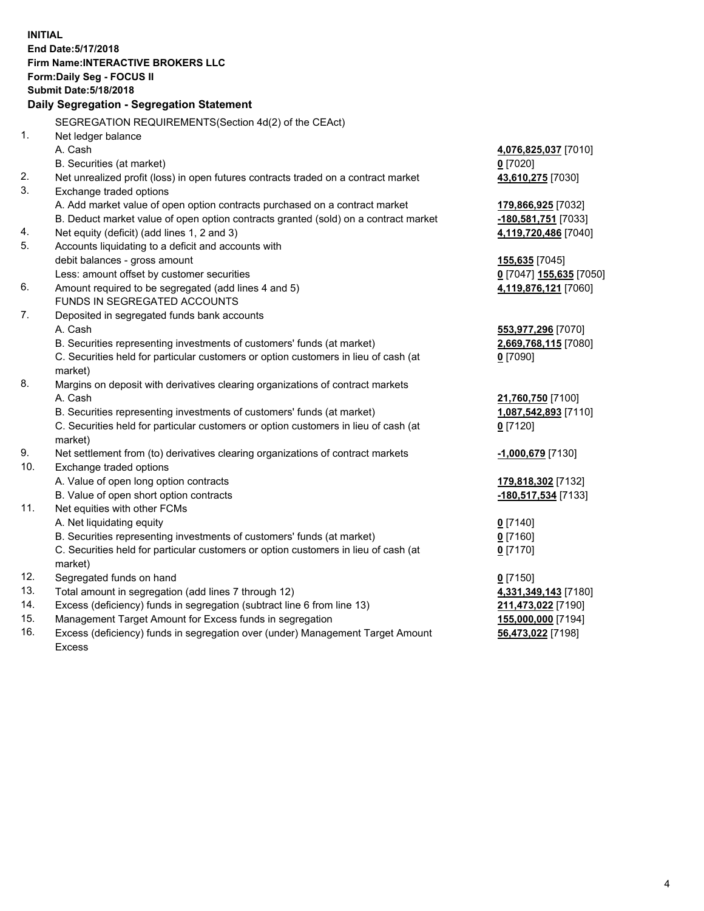**INITIAL End Date:5/17/2018 Firm Name:INTERACTIVE BROKERS LLC Form:Daily Seg - FOCUS II Submit Date:5/18/2018 Daily Segregation - Segregation Statement** SEGREGATION REQUIREMENTS(Section 4d(2) of the CEAct) 1. Net ledger balance A. Cash **4,076,825,037** [7010] B. Securities (at market) **0** [7020] 2. Net unrealized profit (loss) in open futures contracts traded on a contract market **43,610,275** [7030] 3. Exchange traded options A. Add market value of open option contracts purchased on a contract market **179,866,925** [7032] B. Deduct market value of open option contracts granted (sold) on a contract market **-180,581,751** [7033] 4. Net equity (deficit) (add lines 1, 2 and 3) **4,119,720,486** [7040] 5. Accounts liquidating to a deficit and accounts with debit balances - gross amount **155,635** [7045] Less: amount offset by customer securities **0** [7047] **155,635** [7050] 6. Amount required to be segregated (add lines 4 and 5) **4,119,876,121** [7060] FUNDS IN SEGREGATED ACCOUNTS 7. Deposited in segregated funds bank accounts A. Cash **553,977,296** [7070] B. Securities representing investments of customers' funds (at market) **2,669,768,115** [7080] C. Securities held for particular customers or option customers in lieu of cash (at market) **0** [7090] 8. Margins on deposit with derivatives clearing organizations of contract markets A. Cash **21,760,750** [7100] B. Securities representing investments of customers' funds (at market) **1,087,542,893** [7110] C. Securities held for particular customers or option customers in lieu of cash (at market) **0** [7120] 9. Net settlement from (to) derivatives clearing organizations of contract markets **-1,000,679** [7130] 10. Exchange traded options A. Value of open long option contracts **179,818,302** [7132] B. Value of open short option contracts **-180,517,534** [7133] 11. Net equities with other FCMs A. Net liquidating equity **0** [7140] B. Securities representing investments of customers' funds (at market) **0** [7160] C. Securities held for particular customers or option customers in lieu of cash (at market) **0** [7170] 12. Segregated funds on hand **0** [7150] 13. Total amount in segregation (add lines 7 through 12) **4,331,349,143** [7180] 14. Excess (deficiency) funds in segregation (subtract line 6 from line 13) **211,473,022** [7190] 15. Management Target Amount for Excess funds in segregation **155,000,000** [7194] **56,473,022** [7198]

16. Excess (deficiency) funds in segregation over (under) Management Target Amount Excess